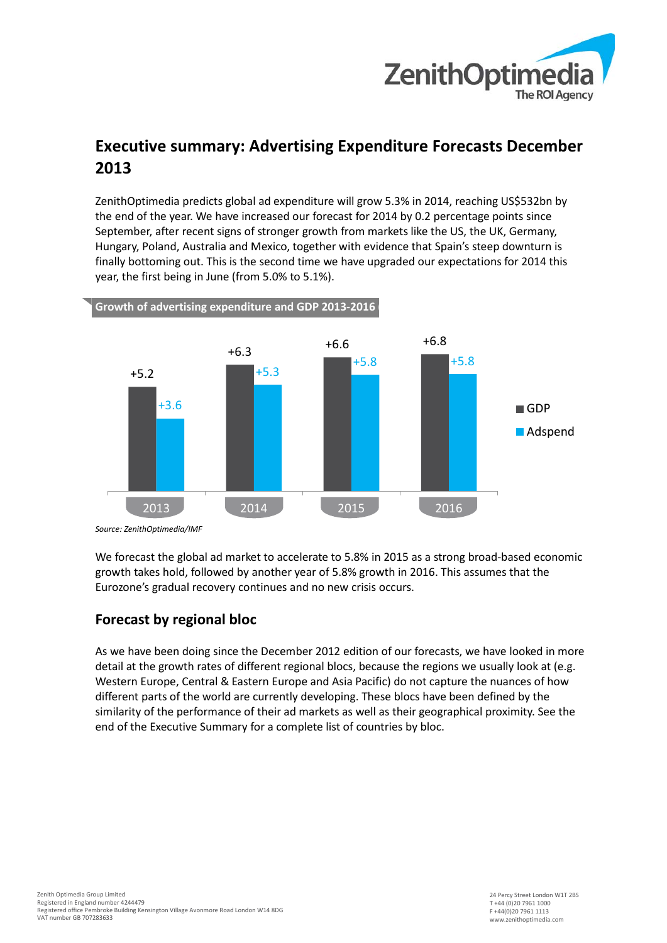

# **Executive summary: Advertising Expenditure Forecasts December 2013**

ZenithOptimedia predicts global ad expenditure will grow 5.3% in 2014, reaching US\$532bn by the end of the year. We have increased our forecast for 2014 by 0.2 percentage points since September, after recent signs of stronger growth from markets like the US, the UK, Germany, Hungary, Poland, Australia and Mexico, together with evidence that Spain's steep downturn is finally bottoming out. This is the second time we have upgraded our expectations for 2014 this year, the first being in June (from 5.0% to 5.1%).



*Source: ZenithOptimedia/IMF*

We forecast the global ad market to accelerate to 5.8% in 2015 as a strong broad-based economic growth takes hold, followed by another year of 5.8% growth in 2016. This assumes that the Eurozone's gradual recovery continues and no new crisis occurs.

### **Forecast by regional bloc**

As we have been doing since the December 2012 edition of our forecasts, we have looked in more detail at the growth rates of different regional blocs, because the regions we usually look at (e.g. Western Europe, Central & Eastern Europe and Asia Pacific) do not capture the nuances of how different parts of the world are currently developing. These blocs have been defined by the similarity of the performance of their ad markets as well as their geographical proximity. See the end of the Executive Summary for a complete list of countries by bloc.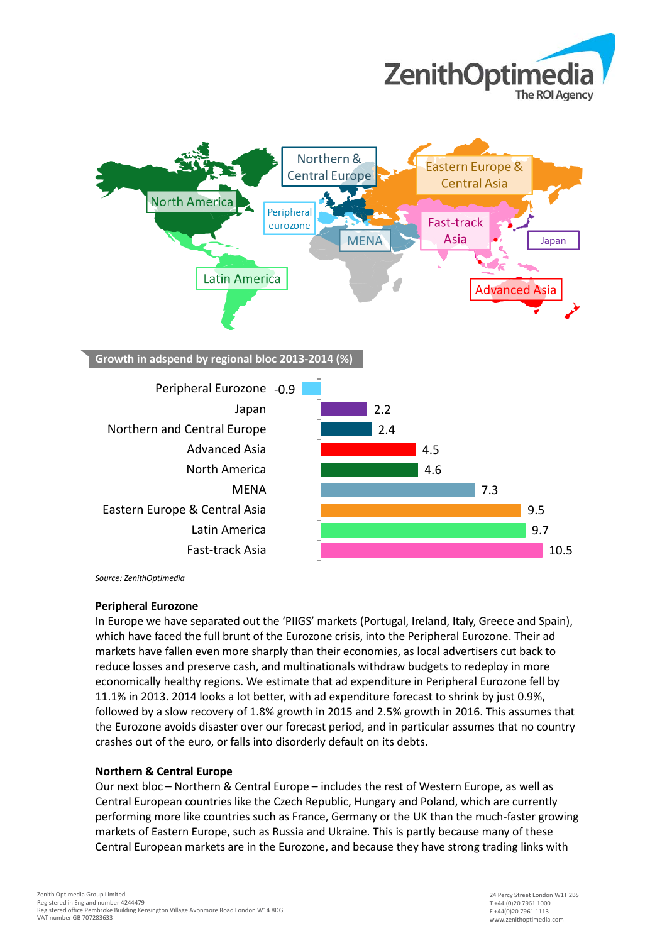



*Source: ZenithOptimedia*

#### **Peripheral Eurozone**

In Europe we have separated out the 'PIIGS' markets (Portugal, Ireland, Italy, Greece and Spain), which have faced the full brunt of the Eurozone crisis, into the Peripheral Eurozone. Their ad markets have fallen even more sharply than their economies, as local advertisers cut back to reduce losses and preserve cash, and multinationals withdraw budgets to redeploy in more economically healthy regions. We estimate that ad expenditure in Peripheral Eurozone fell by 11.1% in 2013. 2014 looks a lot better, with ad expenditure forecast to shrink by just 0.9%, followed by a slow recovery of 1.8% growth in 2015 and 2.5% growth in 2016. This assumes that the Eurozone avoids disaster over our forecast period, and in particular assumes that no country crashes out of the euro, or falls into disorderly default on its debts.

#### **Northern & Central Europe**

Our next bloc – Northern & Central Europe – includes the rest of Western Europe, as well as Central European countries like the Czech Republic, Hungary and Poland, which are currently performing more like countries such as France, Germany or the UK than the much-faster growing markets of Eastern Europe, such as Russia and Ukraine. This is partly because many of these Central European markets are in the Eurozone, and because they have strong trading links with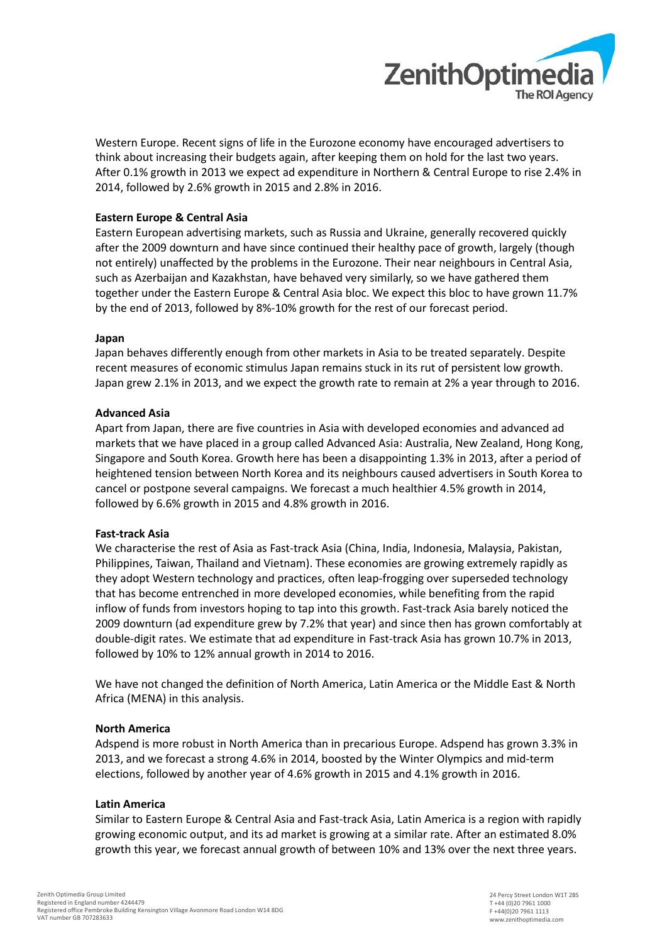

Western Europe. Recent signs of life in the Eurozone economy have encouraged advertisers to think about increasing their budgets again, after keeping them on hold for the last two years. After 0.1% growth in 2013 we expect ad expenditure in Northern & Central Europe to rise 2.4% in 2014, followed by 2.6% growth in 2015 and 2.8% in 2016.

### **Eastern Europe & Central Asia**

Eastern European advertising markets, such as Russia and Ukraine, generally recovered quickly after the 2009 downturn and have since continued their healthy pace of growth, largely (though not entirely) unaffected by the problems in the Eurozone. Their near neighbours in Central Asia, such as Azerbaijan and Kazakhstan, have behaved very similarly, so we have gathered them together under the Eastern Europe & Central Asia bloc. We expect this bloc to have grown 11.7% by the end of 2013, followed by 8%-10% growth for the rest of our forecast period.

#### **Japan**

Japan behaves differently enough from other markets in Asia to be treated separately. Despite recent measures of economic stimulus Japan remains stuck in its rut of persistent low growth. Japan grew 2.1% in 2013, and we expect the growth rate to remain at 2% a year through to 2016.

#### **Advanced Asia**

Apart from Japan, there are five countries in Asia with developed economies and advanced ad markets that we have placed in a group called Advanced Asia: Australia, New Zealand, Hong Kong, Singapore and South Korea. Growth here has been a disappointing 1.3% in 2013, after a period of heightened tension between North Korea and its neighbours caused advertisers in South Korea to cancel or postpone several campaigns. We forecast a much healthier 4.5% growth in 2014, followed by 6.6% growth in 2015 and 4.8% growth in 2016.

#### **Fast-track Asia**

We characterise the rest of Asia as Fast-track Asia (China, India, Indonesia, Malaysia, Pakistan, Philippines, Taiwan, Thailand and Vietnam). These economies are growing extremely rapidly as they adopt Western technology and practices, often leap-frogging over superseded technology that has become entrenched in more developed economies, while benefiting from the rapid inflow of funds from investors hoping to tap into this growth. Fast-track Asia barely noticed the 2009 downturn (ad expenditure grew by 7.2% that year) and since then has grown comfortably at double-digit rates. We estimate that ad expenditure in Fast-track Asia has grown 10.7% in 2013, followed by 10% to 12% annual growth in 2014 to 2016.

We have not changed the definition of North America, Latin America or the Middle East & North Africa (MENA) in this analysis.

#### **North America**

Adspend is more robust in North America than in precarious Europe. Adspend has grown 3.3% in 2013, and we forecast a strong 4.6% in 2014, boosted by the Winter Olympics and mid-term elections, followed by another year of 4.6% growth in 2015 and 4.1% growth in 2016.

#### **Latin America**

Similar to Eastern Europe & Central Asia and Fast-track Asia, Latin America is a region with rapidly growing economic output, and its ad market is growing at a similar rate. After an estimated 8.0% growth this year, we forecast annual growth of between 10% and 13% over the next three years.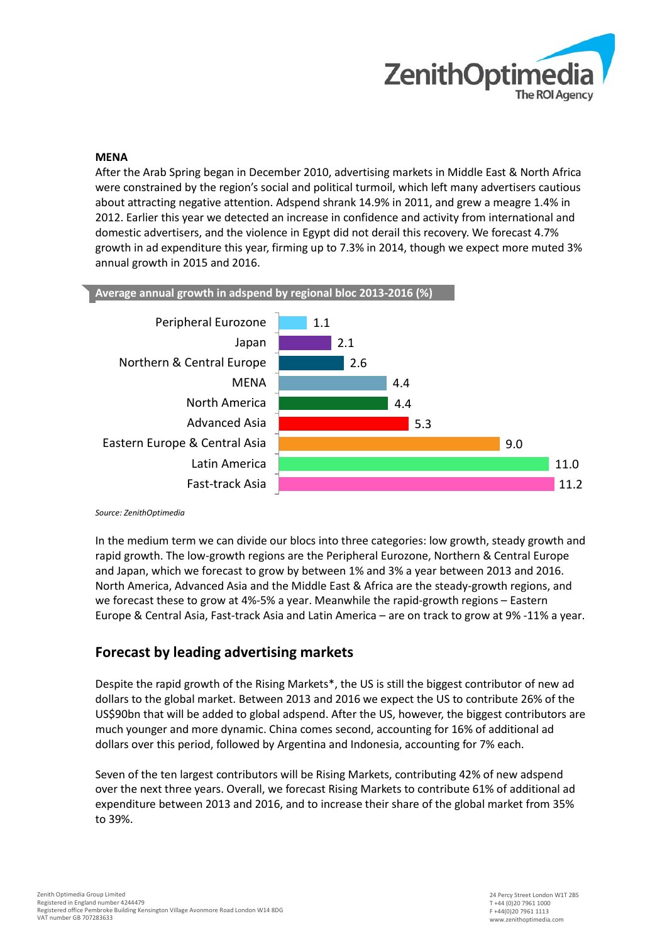

### **MENA**

After the Arab Spring began in December 2010, advertising markets in Middle East & North Africa were constrained by the region's social and political turmoil, which left many advertisers cautious about attracting negative attention. Adspend shrank 14.9% in 2011, and grew a meagre 1.4% in 2012. Earlier this year we detected an increase in confidence and activity from international and domestic advertisers, and the violence in Egypt did not derail this recovery. We forecast 4.7% growth in ad expenditure this year, firming up to 7.3% in 2014, though we expect more muted 3% annual growth in 2015 and 2016.



*Source: ZenithOptimedia*

In the medium term we can divide our blocs into three categories: low growth, steady growth and rapid growth. The low-growth regions are the Peripheral Eurozone, Northern & Central Europe and Japan, which we forecast to grow by between 1% and 3% a year between 2013 and 2016. North America, Advanced Asia and the Middle East & Africa are the steady-growth regions, and we forecast these to grow at 4%-5% a year. Meanwhile the rapid-growth regions – Eastern Europe & Central Asia, Fast-track Asia and Latin America – are on track to grow at 9% -11% a year.

## **Forecast by leading advertising markets**

Despite the rapid growth of the Rising Markets\*, the US is still the biggest contributor of new ad dollars to the global market. Between 2013 and 2016 we expect the US to contribute 26% of the US\$90bn that will be added to global adspend. After the US, however, the biggest contributors are much younger and more dynamic. China comes second, accounting for 16% of additional ad dollars over this period, followed by Argentina and Indonesia, accounting for 7% each.

Seven of the ten largest contributors will be Rising Markets, contributing 42% of new adspend over the next three years. Overall, we forecast Rising Markets to contribute 61% of additional ad expenditure between 2013 and 2016, and to increase their share of the global market from 35% to 39%.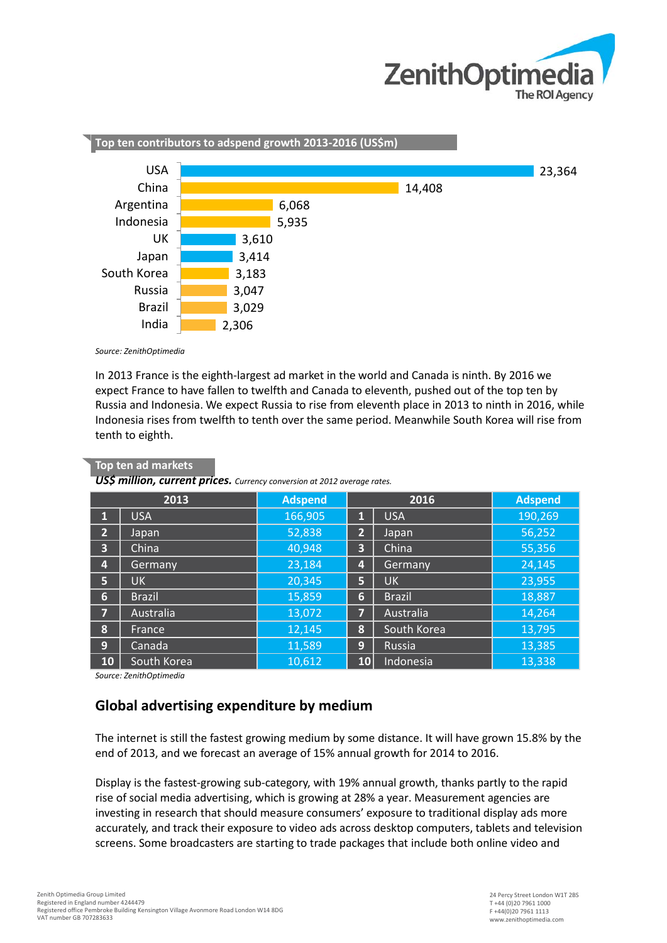



*Source: ZenithOptimedia*

**Top ten ad markets**

In 2013 France is the eighth-largest ad market in the world and Canada is ninth. By 2016 we expect France to have fallen to twelfth and Canada to eleventh, pushed out of the top ten by Russia and Indonesia. We expect Russia to rise from eleventh place in 2013 to ninth in 2016, while Indonesia rises from twelfth to tenth over the same period. Meanwhile South Korea will rise from tenth to eighth.

| 2013            |               | <b>Adspend</b> | 2016           |               | <b>Adspend</b> |
|-----------------|---------------|----------------|----------------|---------------|----------------|
| И               | <b>USA</b>    | 166,905        | П              | <b>USA</b>    | 190,269        |
| $\overline{2}$  | Japan         | 52,838         | $\overline{2}$ | Japan         | 56,252         |
| 3               | China         | 40,948         | 3              | China         | 55,356         |
| 4               | Germany       | 23,184         | 4              | Germany       | 24,145         |
| 5               | UK.           | 20,345         | 5              | <b>UK</b>     | 23,955         |
| $6\phantom{1}6$ | <b>Brazil</b> | 15,859         | 6              | <b>Brazil</b> | 18,887         |
| 7               | Australia     | 13,072         | 7              | Australia     | 14,264         |
| 8               | France        | 12,145         | 8              | South Korea   | 13,795         |
| 9               | Canada        | 11,589         | 9              | Russia        | 13,385         |
| <b>10</b>       | South Korea   | 10,612         | 10             | Indonesia     | 13,338         |

*US\$ million, current prices. Currency conversion at 2012 average rates.*

*Source: ZenithOptimedia*

### **Global advertising expenditure by medium**

The internet is still the fastest growing medium by some distance. It will have grown 15.8% by the end of 2013, and we forecast an average of 15% annual growth for 2014 to 2016.

Display is the fastest-growing sub-category, with 19% annual growth, thanks partly to the rapid rise of social media advertising, which is growing at 28% a year. Measurement agencies are investing in research that should measure consumers' exposure to traditional display ads more accurately, and track their exposure to video ads across desktop computers, tablets and television screens. Some broadcasters are starting to trade packages that include both online video and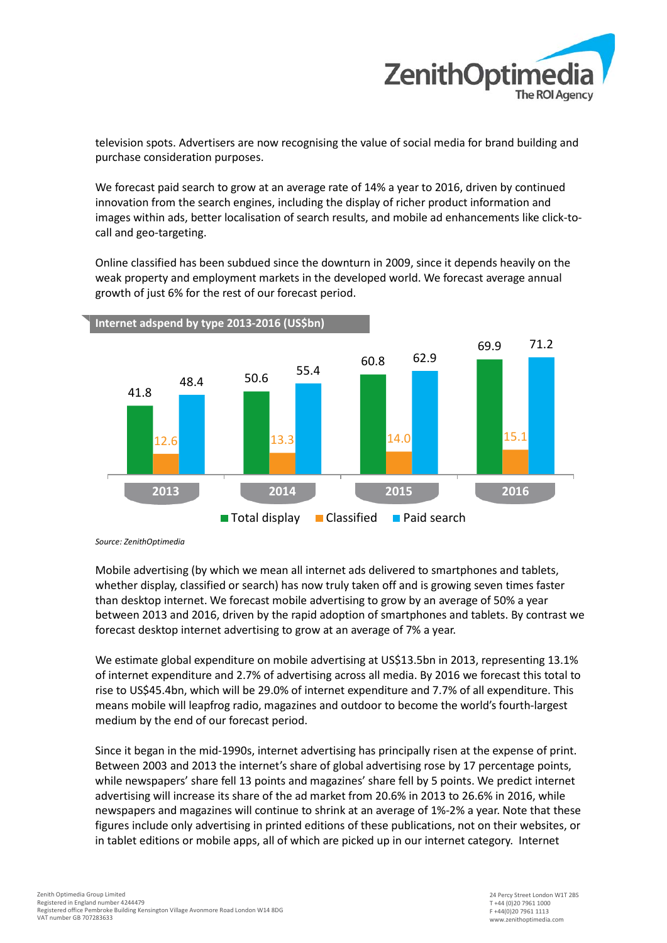

television spots. Advertisers are now recognising the value of social media for brand building and purchase consideration purposes.

We forecast paid search to grow at an average rate of 14% a year to 2016, driven by continued innovation from the search engines, including the display of richer product information and images within ads, better localisation of search results, and mobile ad enhancements like click-tocall and geo-targeting.

Online classified has been subdued since the downturn in 2009, since it depends heavily on the weak property and employment markets in the developed world. We forecast average annual growth of just 6% for the rest of our forecast period.



*Source: ZenithOptimedia*

Mobile advertising (by which we mean all internet ads delivered to smartphones and tablets, whether display, classified or search) has now truly taken off and is growing seven times faster than desktop internet. We forecast mobile advertising to grow by an average of 50% a year between 2013 and 2016, driven by the rapid adoption of smartphones and tablets. By contrast we forecast desktop internet advertising to grow at an average of 7% a year.

We estimate global expenditure on mobile advertising at US\$13.5bn in 2013, representing 13.1% of internet expenditure and 2.7% of advertising across all media. By 2016 we forecast this total to rise to US\$45.4bn, which will be 29.0% of internet expenditure and 7.7% of all expenditure. This means mobile will leapfrog radio, magazines and outdoor to become the world's fourth-largest medium by the end of our forecast period.

Since it began in the mid-1990s, internet advertising has principally risen at the expense of print. Between 2003 and 2013 the internet's share of global advertising rose by 17 percentage points, while newspapers' share fell 13 points and magazines' share fell by 5 points. We predict internet advertising will increase its share of the ad market from 20.6% in 2013 to 26.6% in 2016, while newspapers and magazines will continue to shrink at an average of 1%-2% a year. Note that these figures include only advertising in printed editions of these publications, not on their websites, or in tablet editions or mobile apps, all of which are picked up in our internet category. Internet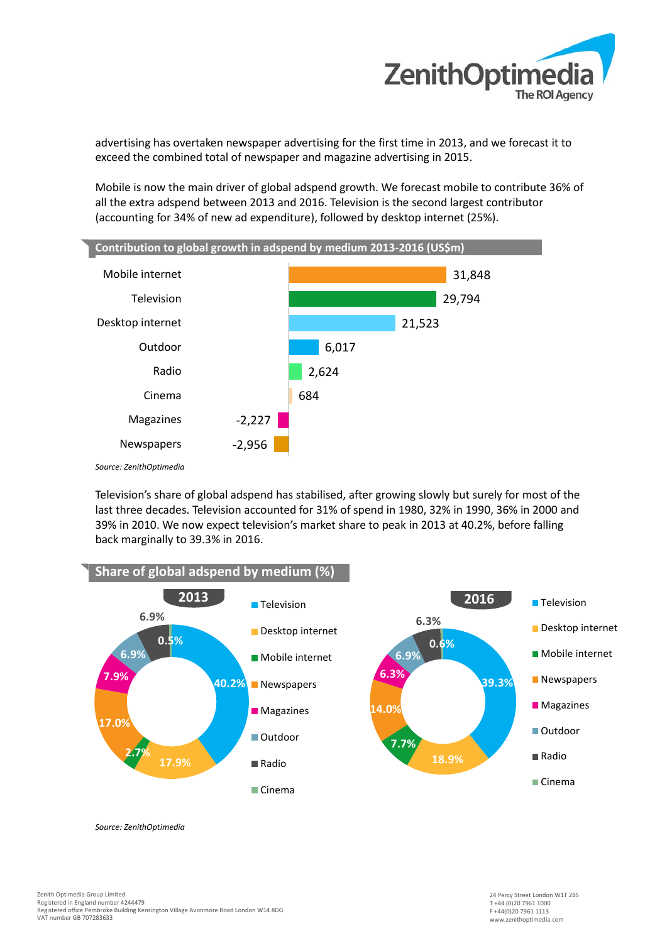

advertising has overtaken newspaper advertising for the first time in 2013, and we forecast it to exceed the combined total of newspaper and magazine advertising in 2015.

Mobile is now the main driver of global adspend growth. We forecast mobile to contribute 36% of all the extra adspend between 2013 and 2016. Television is the second largest contributor (accounting for 34% of new ad expenditure), followed by desktop internet (25%).



Television's share of global adspend has stabilised, after growing slowly but surely for most of the last three decades. Television accounted for 31% of spend in 1980, 32% in 1990, 36% in 2000 and 39% in 2010. We now expect television's market share to peak in 2013 at 40.2%, before falling back marginally to 39.3% in 2016.



*Source: ZenithOptimedia*